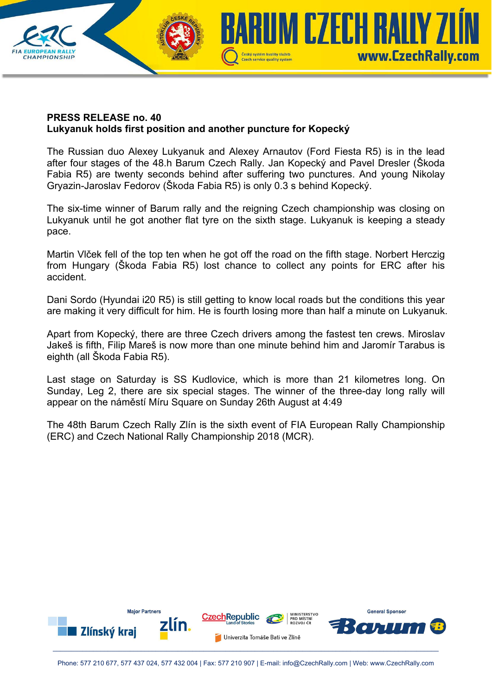

## **PRESS RELEASE no. 40 Lukyanuk holds first position and another puncture for Kopecký**

The Russian duo Alexey Lukyanuk and Alexey Arnautov (Ford Fiesta R5) is in the lead after four stages of the 48.h Barum Czech Rally. Jan Kopecký and Pavel Dresler (Škoda Fabia R5) are twenty seconds behind after suffering two punctures. And young Nikolay Gryazin-Jaroslav Fedorov (Škoda Fabia R5) is only 0.3 s behind Kopecký.

The six-time winner of Barum rally and the reigning Czech championship was closing on Lukyanuk until he got another flat tyre on the sixth stage. Lukyanuk is keeping a steady pace.

Martin Vlček fell of the top ten when he got off the road on the fifth stage. Norbert Herczig from Hungary (Škoda Fabia R5) lost chance to collect any points for ERC after his accident.

Dani Sordo (Hyundai i20 R5) is still getting to know local roads but the conditions this year are making it very difficult for him. He is fourth losing more than half a minute on Lukyanuk.

Apart from Kopecký, there are three Czech drivers among the fastest ten crews. Miroslav Jakeš is fifth, Filip Mareš is now more than one minute behind him and Jaromír Tarabus is eighth (all Škoda Fabia R5).

Last stage on Saturday is SS Kudlovice, which is more than 21 kilometres long. On Sunday, Leg 2, there are six special stages. The winner of the three-day long rally will appear on the náměstí Míru Square on Sunday 26th August at 4:49

The 48th Barum Czech Rally Zlín is the sixth event of FIA European Rally Championship (ERC) and Czech National Rally Championship 2018 (MCR).